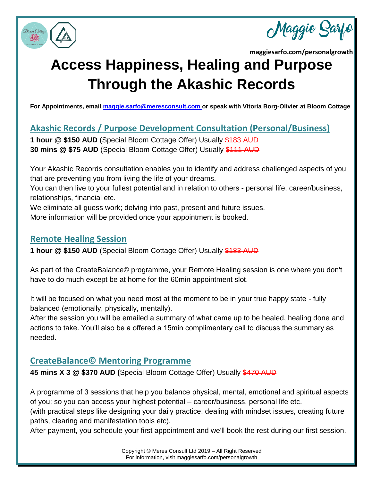

Maggie Sa

# **Access Happiness, Healing and Purpose Through the Akashic Records**

**For Appointments, email [maggie.sarfo@meresconsult.com](mailto:maggie.sarfo@meresconsult.com) or speak with Vitoria Borg-Olivier at Bloom Cottage**

**Akashic Records / Purpose Development Consultation (Personal/Business)**

**1 hour @ \$150 AUD** (Special Bloom Cottage Offer) Usually \$183 AUD **30 mins @ \$75 AUD** (Special Bloom Cottage Offer) Usually \$111 AUD

Your Akashic Records consultation enables you to identify and address challenged aspects of you that are preventing you from living the life of your dreams.

You can then live to your fullest potential and in relation to others - personal life, career/business, relationships, financial etc.

We eliminate all guess work; delving into past, present and future issues.

More information will be provided once your appointment is booked.

### **Remote Healing Session**

**1 hour @ \$150 AUD** (Special Bloom Cottage Offer) Usually \$183 AUD

As part of the CreateBalance© programme, your Remote Healing session is one where you don't have to do much except be at home for the 60min appointment slot.

It will be focused on what you need most at the moment to be in your true happy state - fully balanced (emotionally, physically, mentally).

After the session you will be emailed a summary of what came up to be healed, healing done and actions to take. You'll also be a offered a 15min complimentary call to discuss the summary as needed.

## **CreateBalance© Mentoring Programme**

**45 mins X 3 @ \$370 AUD (**Special Bloom Cottage Offer) Usually \$470 AUD

A programme of 3 sessions that help you balance physical, mental, emotional and spiritual aspects of you; so you can access your highest potential – career/business, personal life etc.

(with practical steps like designing your daily practice, dealing with mindset issues, creating future paths, clearing and manifestation tools etc).

After payment, you schedule your first appointment and we'll book the rest during our first session.

Copyright © Meres Consult Ltd 2019 – All Right Reserved For information, visit maggiesarfo.com/personalgrowth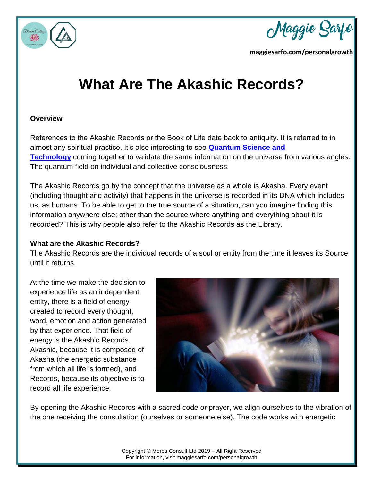

Maggie Sa

## **What Are The Akashic Records?**

#### **Overview**

References to the Akashic Records or the Book of Life date back to antiquity. It is referred to in almost any spiritual practice. It's also interesting to see **[Quantum Science and](https://www.scienceandnonduality.com/akashic-field-and-consciousness/)  [Technology](https://www.scienceandnonduality.com/akashic-field-and-consciousness/)** coming together to validate the same information on the universe from various angles. The quantum field on individual and collective consciousness.

The Akashic Records go by the concept that the universe as a whole is Akasha. Every event (including thought and activity) that happens in the universe is recorded in its DNA which includes us, as humans. To be able to get to the true source of a situation, can you imagine finding this information anywhere else; other than the source where anything and everything about it is recorded? This is why people also refer to the Akashic Records as the Library.

#### **What are the Akashic Records?**

The Akashic Records are the individual records of a soul or entity from the time it leaves its Source until it returns.

At the time we make the decision to experience life as an independent entity, there is a field of energy created to record every thought, word, emotion and action generated by that experience. That field of energy is the Akashic Records. Akashic, because it is composed of Akasha (the energetic substance from which all life is formed), and Records, because its objective is to record all life experience.



By opening the Akashic Records with a sacred code or prayer, we align ourselves to the vibration of the one receiving the consultation (ourselves or someone else). The code works with energetic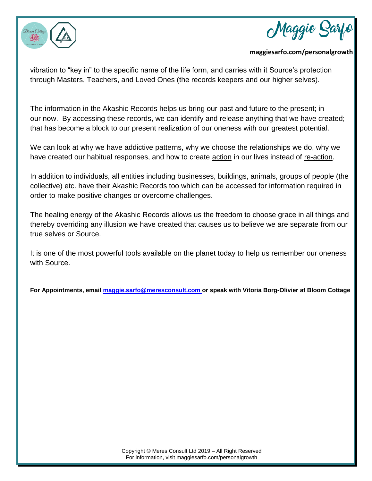



vibration to "key in" to the specific name of the life form, and carries with it Source's protection through Masters, Teachers, and Loved Ones (the records keepers and our higher selves).

The information in the Akashic Records helps us bring our past and future to the present; in our now. By accessing these records, we can identify and release anything that we have created; that has become a block to our present realization of our oneness with our greatest potential.

We can look at why we have addictive patterns, why we choose the relationships we do, why we have created our habitual responses, and how to create **action** in our lives instead of re-action.

In addition to individuals, all entities including businesses, buildings, animals, groups of people (the collective) etc. have their Akashic Records too which can be accessed for information required in order to make positive changes or overcome challenges.

The healing energy of the Akashic Records allows us the freedom to choose grace in all things and thereby overriding any illusion we have created that causes us to believe we are separate from our true selves or Source.

It is one of the most powerful tools available on the planet today to help us remember our oneness with Source.

**For Appointments, email [maggie.sarfo@meresconsult.com](mailto:maggie.sarfo@meresconsult.com) or speak with Vitoria Borg-Olivier at Bloom Cottage**